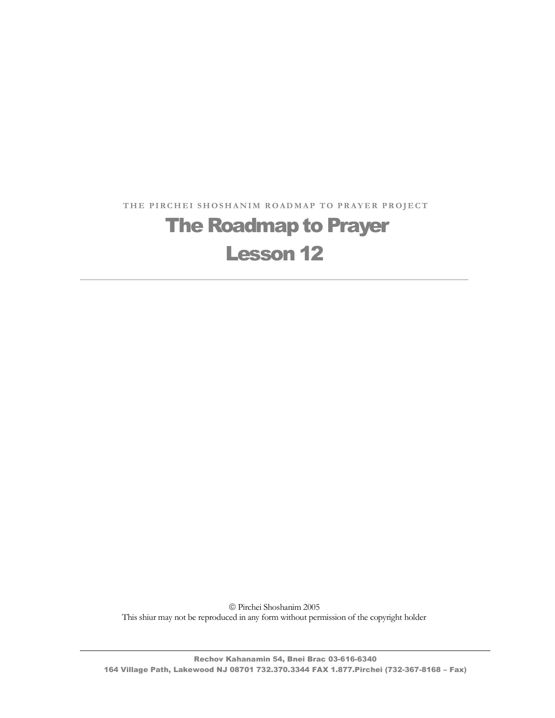THE PIRCHEI SHOSHANIM ROADMAP TO PRAYER PROJECT

# **The Roadmap to Prayer** Lesson 12

 Pirchei Shoshanim 2005 This shiur may not be reproduced in any form without permission of the copyright holder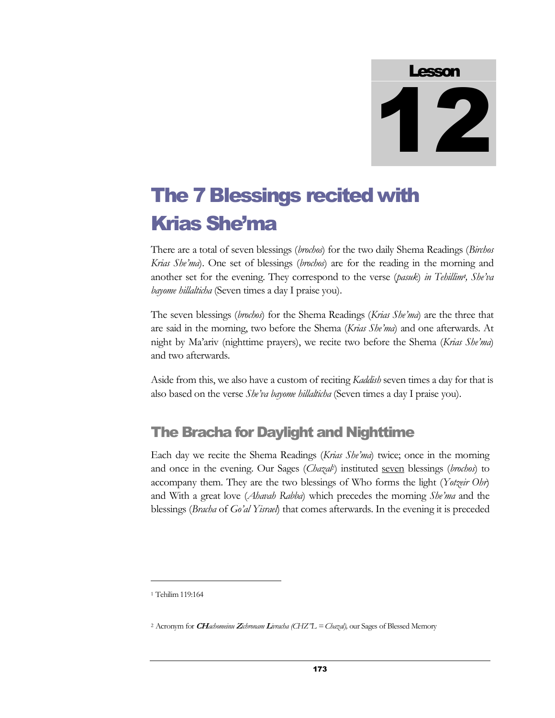# Lesson 12

# The 7 Blessings recited with Krias She'ma

There are a total of seven blessings (*brochos*) for the two daily Shema Readings (*Birchos Krias Sheíma*). One set of blessings (*brochos*) are for the reading in the morning and another set for the evening. They correspond to the verse (*pasuk*) *in Tehillim***1***, Sheíva bayome hillalticha* (Seven times a day I praise you).

The seven blessings (*brochos*) for the Shema Readings (*Krias Sheíma*) are the three that are said in the morning, two before the Shema (*Krias Sheíma*) and one afterwards. At night by Maíariv (nighttime prayers), we recite two before the Shema (*Krias Sheíma*) and two afterwards.

Aside from this,we also have a custom of reciting *Kaddish* seven times a day for that is also based on the verse *Sheíva bayome hillalticha* (Seven times a day I praise you).

### The Bracha for Daylight and Nighttime

Each day we recite the Shema Readings (*Krias Sheíma*) twice; once in the morning and once in the evening. Our Sages (*Chazal2*) instituted seven blessings (*brochos*) to accompany them. They are the two blessings of Who forms the light (*Yotzeir Ohr*) and With a great love (*Ahavah Rabba*) which precedes the morning *Sheíma* and the blessings (*Bracha* of *Goíal Yisrael*) that comes afterwards. In the evening it is preceded

<sup>1</sup> Tehilim119:164

<sup>2</sup> Acronym for **CH***achomeinu* **<sup>Z</sup>***ichronam* **<sup>L</sup>***ivracha (CHZîL =Chazal),* our Sages of Blessed Memory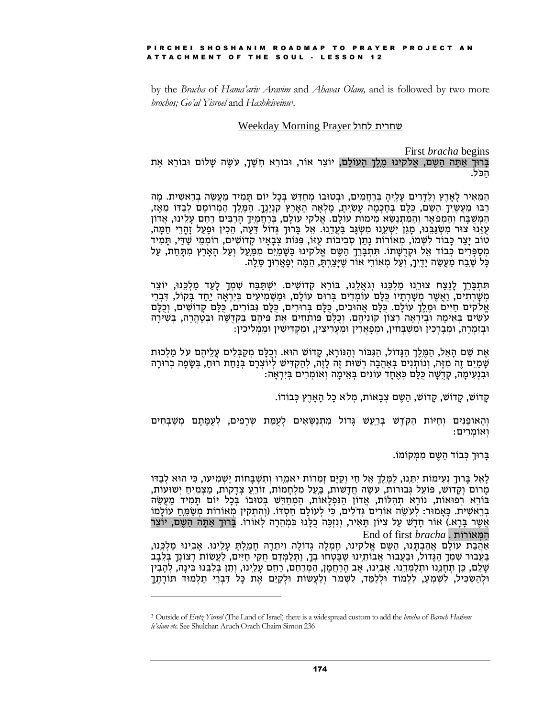by the *Bracha* of *Hama'ariv Aravim* and *Ahavas Olam*, and is followed by two more *brochos:* Go'al Yisroel and Hashkiveinu<sup>3</sup>.

#### Weekday Morning Prayer שחרית לחול

First *bracha* begins בָּרוּךְ אַתָּה הַשָּם, אֱלֹקִינוּ מֶלֵךְ הָעוֹלָם, יוֹצֵר אוֹר, וּבוֹרֵא חִשְׁךָ, עִשֶּׂה שָׁלוֹם וּבוֹרֵא אֶת הכל.

הַמֵּאִיר לָאָרֶץ וְלַדָּרִים עָלֵיהָ בְּרַחֲמִים, וּבְטוּבוֹ מִחַדֵּשׁ בִּכָל יוֹם תַּמִיד מַעַשֵּׂה בִרֵאשִׁית. מַה רַבּוּ מַעֲשֵׂיךָ הַשֶּׁם, כַּלַּם בְּחַכְמָה עַשִׂיתַ, מַלְאָה הַאָרֶץ קִנְיָנֵךָ. הַמֵּלֵךְ הַמְרוֹמַם לְבַדוֹ מֵאָז, הַמְשָׁבָּח וְהַמְפֹאֵר וְהַמְּתְנָשֶּׂא מִימוֹת עוֹלַם. אֱלֹקי עוֹלַם, בְּרָחֲמֶיךָ הַרָבִּים רַחֶם עָלֵינוּ, אֲדוֹן עזנו צור משגַּבֵּנוּ, מַגֵּן יִשְׁעֲנוּ מִשְׂגָּב בַּעֲדֵנוּ. אֵל בָּרוּךָ גִדוֹל דֵּעָה, הֵכְין וּפָעַל זָהֶרֵי חַמָּה, טוֹב יָצַר כָּבוֹד לִשְׁמוֹ, מְאוֹרוֹת נָתַן סִבְיבוֹת עָזוֹ, פִּנוֹת צִבַאֵיו קַדוֹשִׁים, רוֹמְמֵי שַׁדֵּי, תַּמִיד מספרים כבוד אל וקדשתו. תתברך השם אלקינו בשמים ממעל ועל הארץ מתחת, על כַּל שֶׁבַח מַעֲשֶׂה יָדֵיךָ, וְעָל מְאִוֹרֵי אוֹר שֵׁיַצֲרִתַּ, הֵמֵּה יְפַאֲרִוּךָ סֶלֵה.

תּתִבְּרֵךְ לַנֵצַח צוּרֵנוּ מַלִכְּנוּ וְגֹאֵלֶנוּ, בּוֹרֵא קָדוֹשִׁים. יִשְׁתַּבָּח שִׁמְךָ לַעָד מַלְכֵּנוּ, יוֹצֵר משרתים, ואשר משרתיו כלם עומדים ברום עולם, ומשמיעים ביראה יחד בקול, דברי אלקים חיים ומלך עולם. כלם אהובים, כלם ברורים, כלם גבורים, כלם קדושים, וכלם עשים באימה וביראה רצון קוניהם. וכלם פותחים את פיהם בקדשה ובטהרה, בשירה וּבזמרה, וּמְבַרְכִין וּמְשָׁבִּחִין, וּמְפַאֲרִין וּמֵעָרִיצִין, וּמַקְדִּישִׁין וּמַמְלִיכִין:

אֵת שֶׁם הַאֵל, הַמֶּלֵךְ הַגַּדוֹל, הַגִּבּוֹר וְהַנּוֹרָא, קַדוֹשׁ הוּא. וְכָלָם מִקַבְּלִים עַלֵיהֶם על מַלְכוּת שָׁמַיִם זֶה מְזֶה, וְנוֹתְנִים בְּאַהֲבָה רְשׁוּת זֶה לָזֶה, לְהַקְדִּישׁ לְיוֹצְרָם בְּנַחַת רְוּחַ, בְּשָׂפָה בְרוּרָה וּבְנְעִימַה, קַדָּשָׁה כַּלַּם כִּאֲחַד עוֹנִים בִּאֵימַה וְאוֹמִרִים בִּיְרִאַה:

קַדוֹשׁ, קַדוֹשׁ, קַדוֹשׁ, הַשֶּׁם צְבַאוֹת, מִלֹא כַל הַאָרֵץ כְּבוֹדוֹ.

וְהָאוֹפַגִּים וְחֵיּוֹת הַקִּדְשׁ בְּרֵעֵשׁ גָּדוֹל מִתְנַשְּׂאִים לִעְמַת שְׂרָפִים, לְעָמָתָם מְשַׁבְּחִים ואומרים:

ברוּך כבוֹד השם ממקוֹמוֹ.

לַאֵל בַּרוּךָ נִעִימוֹת יִתְנוּ, לַמֶּלֵךְ אֵל חֵי וִקַיַּם זְמִרוֹת יֹאמֵרוּ וִתְשָׁבַּחוֹת יַשְׁמְיעוּ, כִּי הוּא לְבַדּוֹ מרום וקדוש, פועל גבורות, עשה חדשות, בעל מלחמות, זורע צדקות, מצמיח ישועות, בורא רפואות, נורא תהלות, אדון הנפלאות, המחדש בטובו בכל יום תמיד מעשה בְרֵאשִׁית. כָּאַמוּר: לְעָשֶׂה אוֹרִים גְדֹלִים, כִּי לְעוֹלַם חַסְדּוֹ. (והתקין מְאוֹרוֹת מִשַּׂמַח עוֹלמוֹ אַשֶר בּרַא.) אוֹר חַדָשׁ עַל צִיּוֹן תַּאִיר, וְנַזְכָּה כַלְנוּ בִּמְהֵרָה לְאוֹרוֹ. בַּרוּךְ אִתָּה הַשֶּׁם, יוֹצֵר המאורות . End of first bracha

אהבת עולם אהבתנו, השם אלקינו, חמלה גדולה ויתרה חמלת עלינו. אבינו מלכנו, בעבור שמך הגדול, ובעבור אבותינו שבטחו בך, ותלמדם חקי חיים, לעשות רצונך בלבב שָׁלֵם, כֵּן תִּחָנֵנוּ וּתִלַמְדֵנוּ. אַבְינוּ, אַב הָרַחֲמָן, הַמְרַחֵם, רַחֵם עָלֵינוּ, וְתֵן בִּלְבֵּנוּ בִּינָה, לִהָבִין ולהשכיל. לשמע, ללמוד וללמד, לשמר ולַעַשוֹת ולִקַיֵּם אֶת כָּל דְּבְרֵי תַלְמוּד תּוֹרָתֵךָ

<sup>&</sup>lt;sup>3</sup> Outside of Eretz Yisrnel (The Land of Israel) there is a widespread custom to add the brocha of Baruch Hashem le'olam etc. See Shulchan Aruch Orach Chaim Simon 236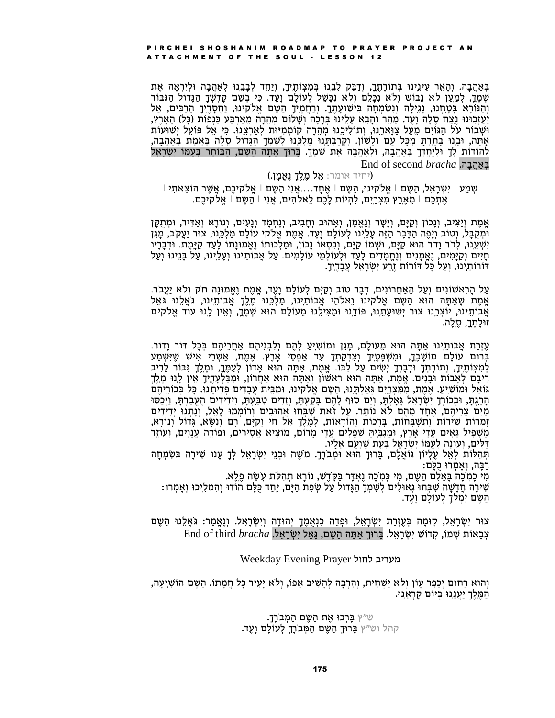בְּאַהֲבָה. וְהָאֵר עֵינֵינוּ בְּתוֹרָתֶךָ, וְדָבֵּק לְבֵנוּ בִּמְצְוֹתֵיךָ, וְיָחֵד לְבָבֵנוּ לְאַהֲבָה וּלִירְאַה אֶת שמך, למען לא נבוֹש ולֹא נכּלם ולֹא נכּשׁל לעוֹלם ועד. כּי בשם קדשך הגדוֹל הגּבּוֹר והֵנּוֹרָא בְּטֵחְנוּ, נַגְילָה וְנִשְׂמְחָה בִּישׁוּעָתְךָ. וְרַחֲמֵיךָ הַשֶּׁם אֱלֹקִינוּ, וַחֲסָדֵיךָ הַרָבִּים, אַל יַעַזְבְוּנוּ גֵצַח סֶלֶה וָעֶד. מַהֵר וְהָבֵא עָלֵינוּ בְּרָכָה וְשָׁלוֹם מְהֵרָה מֵאַרְבַּע כַּנְפוֹת (כָּל) הָאָרֶץ, וּשָׁבוֹר על הַגּוֹיִם מֵעַל צַוַּארֶנוּ, וְתוֹלִיכֵנוּ מְהֵרָה קוֹמְמִיּוּת לְאַרְצֵנוּ. כִּי אֵל פּוֹעֵל יִשׁוּעוֹת אתה, ובנו בחרת מכל עם ולשון. וקרבתנו מלכנו לשמך הגדול סלה באמת באהבה, לְהוֹדוֹת לְךָ וּלִיַחֲדְךָ בְּאַהֲבָה, וּלִאַהֲבָה אֶת שְׁמֶךָ. בְּרוּךָ אַתָּה הַשֶּׁם, הַבּוֹחֵר בְּעָמּוֹ יִשְׂרָאֵל End of second *bracha* .באהבה

#### (יחיד אומר: **אֵל מֶלֵךְ נֵאֵמָן.)**

'שִׁמַע | יִשְׂרָאֵל, הַשֵּׁם | אֵלֹקִינוּ, הַשֵּׁם | אֵתָד....אֲנִי הַשֵּׁם | אֱלֹקִיכֵם, אֲשֶׁר הוֹצֵאתִי | אֵתְכֶם | מֶאֶרֵץ מְצְרֵיֵם, לְהִיוֹת לַכֶם לֵאלֹהִים, אֲנִי | הַשֶּׁם | אֱלֹקִיכֶם.

אֱמֶת וְיַצִּיב, וְנֵכוֹן וְקַיָּם, וְיַשֶׁר וְנֵאֱמֵן, וְאַהוּב וְחָבִיב, וְנֵחְמַד וְנַעִים, וְנוֹרָא וְאַדִּיר, וּמִתְקַן וּמְקַבַּל, וְטוֹב וְיָפֵה הַדָּבַר הָזֵה עָלֵינוּ לְעוֹלַם וַעֵד. אֱמֶת אֱלֹקי עוֹלַם מַלְכֵּנוּ, צוּר יַעֲקֹב, מַגֶן יִשְׁעֵנוּ, לְדֹר וָדֹר הוּא קַיָּם, וּשְׁמוֹ קַיָּם, וְכִסְאוֹ נָכוֹן, וּמַלְכוּתוֹ וֶאֱמוּנָתוֹ לַעַד קַיַּמֵת. וּדְבָרָיו חיים וקימים, נאמנים ונחמדים לעד ולעולמי עולמים. על אבותינו ועלינו, על בנינו ועל דורותינו, ועל כל דורות זֵרַע יִשְׂרָאֵל עַבַדְיֵךָ.

עַל הָרְאשׁוֹנִים וְעַל הָאַחֲרוֹנִים, דָּבָר טוֹב וְקַיָּם לְעוֹלָם וָעֵד, אֵמֶת וֵאֱמוּנָה חֹק וְלֹא יַעֲבֹר. אֱמֶת שָׁאַתָּה הוּא הַשֶּׁם אֱלֹקִינוּ וֵאלֹהֵי אֲבוֹתֵיִנוּ, מַלְכֵּנוּ מֶלֶךָ אֲבוֹתֵינוּ, גֹּאֲלֵנוּ גֹּאֵל אֲבוֹתֵינוּ, יוֹצְרֵנוּ צוּר יִשׁוּעָתֵנוּ, פּוֹדֵנוּ וּמַצִּילֵנוּ מֵעוֹלָם הוּא שִׁמֵךָ, וְאֵין לָנוּ עוֹד אֱלֹקים זוּלַתֵּךָ, סֵלֵה.

עֶזְרָת אֲבוֹתֵינוּ אַתָּה הוּא מֵעוֹלַם, מַגֵּן וּמוֹשִׁיַעַ לַהֵם וְלִבְנֵיהֶם אַחֲרֵיהֶם בְּכַל דוֹר וַדוֹר. בּרוּם עוֹלַם מוֹשַׁבֵּךָ, וּמִשְׁפַּטֵיִךַ וְצִדְקַתְךָ עָד אַפְסֵי אָרֵץ. אֶמֶת, אָשְׁרֵי אִישׁ שֵׁיִּשְׁמַע לְמְצְוֹתֵיךָ, וְתוֹרָתְךָ וּדְבָרְךָ יַשִׂים עַל לְבּוֹ. אֱמֶת, אֲתָה הוּא אֲדוֹן לְעָמֶךָ, וּמֶלֵךָ גְּבּוֹר לַרְיב רִיבָם לְאָבוֹת וּבָנִים. אֱמֶת, אַתָּה הוּא רִאשׁוֹן וְאַתָּה הוּא אַחֲרוֹן, וּמִבַּלְעָדֶיֶךָ אֵין לָנוּ מֶלֵךְ גּוֹאֵל וּמוֹשִׁיַעַ. אֶמֶת, מִמְּצְרֵיֵם גְּאַלְתְּנוּ, הַשֶּׁם אֱלֹקִינוּ, וּמְבֵּיִת עַבָדִים פִּדִיתֲנוּ. כַּל בְּכוֹרֵיהֵם הַרֵגְתָּ, וּבְכוֹרְךָ יִשְׂרָאֵל גַּאֲלִתָּ, וְיָם סוּף לָהֶם בַּקַעִתָּ, וְזֵדִים טְבַּעָתָּ, וְיִדִידִים הֶעֱבָרֶתָּ, וַיִּכְּסוּ מים צריהם, אחד מהם לא נותר. על זאת שבחו אהובים ורוממו לאל, ונתנו ידידים זמרות שירות ותשבחות, ברכות והודאות, למלך אל חי וקים, רם ונשא, גדול ונורא, מַשְׁפִּיל גֵּאִים עֲדֵי אָרֵץ, וּמַגְבִּיִהַ שְׁפַלִים עָדֵי מַרוֹם, מוֹצִיא אֵסְירִים, וּפוֹדֵה עֲנַוִים, וְעוֹזֵר דַלים, ועוֹנֵה לְעָמּוֹ יִשְׂרָאֵל בְּעֶת שַׁוְעָם אֶלָיו.

תְהְלוֹת לָאֱל עֶלְיוֹן גּוֹאֲלֵם, בְּרוּךְ הוּא וּמְבֹרָךָ. מִשֶׁה וּבְנֵי יִשְׂרָאֵל לְךָ עָנוּ שִׁירַה בְּשָׂמְחַה רבה, ואמרוּ כלם:

מִי כַמִּכָּה בַּאֵלְם הַשֵּׁם, מִי כַּמִכָּה נֵאִדָּר בַּקְדֵשׁ, נוֹרָא תְהִלֹּת עִשָּׂה פֶלֵא.

שִׁירַה חֲדָשָׁה שִׁבְּחוּ גְאוּלִים לְשִׁמְךָ הַגֵּדוֹל עַל שִׂפַת הַיַּם, יַחֲד כָּלֵם הוֹדוּ וְהִמְלִיכוּ וְאַמְרוּ: הַשֶּׁם יִמְלֹךָ לְעוֹלַם וַעֵּד.

צוּר יִשְׂרָאֵל, קִוּמָה בְּעֶזְרַת יִשְׂרָאֵל, וּפְדֵה כִנְאֻמֶךָ יְהוּדָה וְיִשְׂרָאֵל. וְנֶאֱמַר: גֹּאֲלֵנוּ הַשֶּׁם End of third bracha נְבָאוֹת שְׁמוֹ, קְדוֹשׁ יִשְׂרָאֵל. בָּרוּךְ אַתַּה הַשֵּׁם, גַּאַל יִשׂרָאֵל.

#### מעריב לחול Weekday Evening Prayer

והוא רחום יכפר עון ולא ישחית, והרבה להשיב אפו, ולא יעיר כל חמתו. השם הושיעה, הַמֶּלֶךְ יַעֲנֵנוּ בִיוֹם קַרְאֵנוּ.

> ש״ץ בָּרְכוּ אֶת הַשֶּׁם הַמְבֹרָךָ. קהל וש״ץ **בָּרוּךָ הַשֵּׁם הַמְּבֹרָךָ לְעוֹלָם וָעֵד.**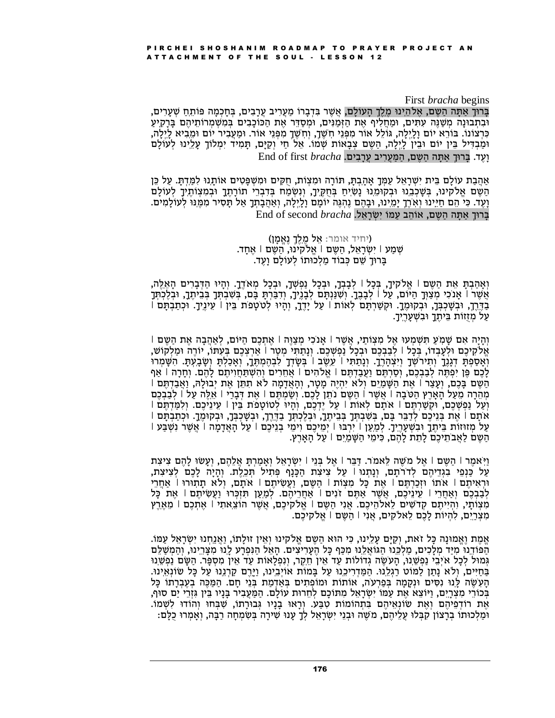#### First *bracha* begins

ברוך אתה השם, אלהינו מלך העולם, אשר בדברו מעריב ערבים, בחכמה פותח שערים, וּבְתְבוּנָה מְשַׁנֵּה עִתִּים, וּמַחֲלִיף אֵת הַזְּמַנִּים, וּמִסַדֵּר אֵת הַכּוֹכָבִים בִּמְשָׁמְרוֹתֵיהֵם בָּרָקִיעַ כִּרְצוֹנוֹ. בּוֹרֵא יוֹם וָלֵיְלָה, גּוֹלֵל אוֹר מִפְּנֵי חְשֶׁךָ, וְחְשֶׁךָ מִפְּנֵי אוֹר. וּמַעֲבִיר יוֹם וּמֵבִיא לְיֶלָה, וּמַבְדִּיל בֵּין יוֹם וּבֵין לְיֶלָה, הַשֶּׁם צְבָאוֹת שְׁמוֹ. אֵל חַי וְקַיָּם, תָּמִיד יִמְלוֹךָ עָלֵינוּ לְעוֹלָם End of first bracha וַעֲד. בֵּרוּךְ אתָּה הַשֵּׁם, הַמַּעֲרִיב עַרַבְיִם.

אַהֶבָת עוֹלָם בֵּית יִשְׁרָאֵל עַמְּךָ אַהְבְתָּ, תּוֹרָה וּמִצְוֹת, חַקִּים וּמִשְׁפָּטִים אוֹתָנוּ לְמַדִתְּ עַל כֵּן הַשֶּׁם אֱלֹקִינוּ, בִּשֶּׁכְבֵנוּ וּבְקוּמֵנוּ נָשִׂיְחַ בְּחֻקֵיךָ, וְנִשְׂמַח בְּדִבְרֵי תוֹרָתֶךָ וּבְמִצְוֹתֶיךָ לְעוֹלָם וָעֶד. כִּי הֵם חַיֵּינוּ וְאִרֶךָ יָמֵינוּ, וּבָהֶם נֵהְגֶּה יוֹמָם וָלָיֵלָה, וְאַהֲבָתְךָ אַל תָּסִיר מִמֶּנוּ לְעוֹלָמִים. End of second bracha ברוך אתה השם, אוֹהב עמוֹ ישׂראל.

#### (יחיד אומר: אֵל מֶלֶךְ נֶאֱמָן) שְׁמַע | יִשְׂרָאֵל, הַשֶּׁם | אֱלֹקִינוּ, הַשֵּׁם | אֵחַד. בַרוּךְ שֶׁם כִּבוֹד מַלְכוּתוֹ לְעוֹלַם וַעֶד.

וְאַהַבְתַּ אֶת הַשֶּׁם | אֱלֹקִיךָ, בְּכַל | לִבְבְךָ, וּבְכָל נִפְשָׁךָ, וּבְכַל מְאֹדֶךָ. וְהָיוּ הַדִּבְרִים הַאֶלֶה, אֲשֶר | אָנֹכִי מְצַוְּךָ הַיּוֹם, עַל | לְבָבֶךָ. וְשִׁנַּנְתָם לְבָנֵיךָ, וִדְבַּרְתָּ בָּם, בְּשִׁבְתְּךָ בְּבֵיתֶךָ, וּבְלֶכְתְּךָ בְדֵרֵךְ, וּבְשַׁכְבְּךָ, וּבְקוּמֶךָ. וּקִשַּׁרִתַּם לְאוֹת | עַל יַדֵךְ, וְהָיוּ לְטֹטָפֹת בֵּין | עֵינֵיךָ. וּכְתַבְתֵּם | עַל מְזֻזוֹת בֵּיתֶךָ וּבְשָׁעָרֵיךָ.

והיה אם שמע תשמעו אל מִצְוֹתֵי, אֲשֶׁר | אוֹכִי מְצַוֶּה | אֶתְכֶם הַיּוֹם, לְאהֵבָה אֶת הַשֶּׁם | אלקיכם ולעבדו. בכל | לבבכם ובכל נפשכם. ונתתי מטר | ארצכם בעתו, יורה ומלקוש. ואספת דגנך ותירשך ויצהרך. ונתתי | עשב | בשדך לבהמתך, ואכלת ושבעת. השמרו לְכָם מֵן יִפְתָּה לְבַבְכֶם, וְסַרְתִּם וַעֲבַדְתֵּם | אֱלֹהִים | אֶחֲרִים וְהִשָּׁתְחִוִיתֶם לָהֶם. וְחַרָה | אִף הַשֶּׁם בַּכֶם, וַעֲצַר | אֶת הַשֶּׁמַיִם וְלֹא יְהִיָּה מֵטֶר, וְהָאֲדָמָה לֹא תִתְּן אֶת יְבוּלָה, וַאֲבָדְתֵם | מהרה מעל הארץ הטבה | אשר | השם נתן לכם. ושמתם | את דברי | אלה על | לבבכם וְעָל נַפְשָׁכֵם, וּקְשָׁרַתִּם | אתם לאות | עַל יַדְכֶם, וְהֵיוּ לְטוֹטָפֹת בֵּין | עֵינֵיכֶם. וְלָמְדָתֵם | אתם | את בניכם לדבר בם, בשבתך בביתך, ובלכתך בדרך, ובשכבך, ובקומך. וכתבתם | על מזוזות ביתך ובשעריך. למען | ירבו | ימיכם וימי בניכם | על האדמה | אשר נשבע | השם לאבתיכם לתת להם, כימי השמים | על הארץ.

וַיִּאמֵר | הַשֵׁם | אֶל מֹשֶׁה לֵאמֹר. דַּבֵּר | אֶל בְּנֵי | יִשְׂרָאֵל וְאָמַרְתָּ אֲלֵהֶם, וְעָשׂוּ לָהֶם צִיצִת עַל כַּנְפֵי בִגְדֵיהֵם לְדֹרֹתָם, וְנָתְנוּ | עַל צִיצְת הַכָּנָף פִּתְיל תִּכֵלֵת. וְהָיָה לָכֵם לִצְיצִת, וּרְאִיתֵם | אֹתוֹ וּזְכַרְתֵּם | אֵת כָּל מִצְוֹת | הַשֵּׁם, וַעֲשִׂיתֵם | אֹתָם, וִלֹא תָתְוּרוּ | אַחֲרֵי לְבַבְכֶם וְאַחֲרֵי | עֵינֵיכֶם, אֲשֶׁר אַתֶּם זֹנִים | אַחֲרֵיהֶם. לְמַעַן תִּזְכְּרוּ וַעֲשִׂיתֵם | אֶת כָּל מצותי, והייתם קדשים לאלהיכם. אני השם | אלקיכם, אשר הוצאתי | אתכם | מארץ מִצְרַיִם, לְהִיוֹת לָכֶם לֵאלֹקִים, אֲנִי | הַשֵּׁם | אֱלֹקִיכֶם.

אֵמֶת וֵאֱמוּנַה כַּל זֹאת, וְקַיַּם עָלֵינוּ, כִּי הוּא הַשֶּׁם אֱלֹקינוּ וְאֵין זוּלַתוֹ, וַאֲנֵחְנוּ יִשְׂרָאֵל עַמּוֹ. הפודנו מיד מלכים, מלכנו הגואלנו מכף כל העריצים. האל הנפרע לנו מצרינו, והמשלם גְמוּל לְכָל אֹיְבֵי נַפְשֶׁנוּ, הַעִשֶּׂה גְדוֹלוֹת עַד אֵין חֵקֵר, וְנְפְלַאוֹת עַד אֵין מִסְפָּר. הַשָּׂם נַפְשֶׁנוּ בחיים, ולא נתן למוט רגלנו. המדריכנו על במות אויבינו, וירם קרננו על כל שונאינו. הַעְשֶׂה לַּנוּ נִסְיִם וּנִקַמַה בְּפַרְעֹה, אוֹתוֹת וּמוֹפְתִים בְּאַדְמַת בְּנֵי חַם. הַמַּכֶּה בְעֵבְרָתוֹ כָּל בְּכוֹרֵי מִצְרָיֵם, וַיּוֹצֵא אֶת עַמּוֹ יִשְׂרָאֵל מִתּוֹכָם לְחֵרוּת עוֹלָם. הַמַּעֲבִיר בָּנָיו בֵּין גִּזְרֵי יַם סוּף, את רודפיהם ואת שונאיהם בתהומות טבע. וראו בניו גבורתו, שבחו והודו לשמו. וּמַלְכוּתוֹ בְרָצוֹן קִבְּלוּ עֲלֵיהֶם, משֶׁה וּבְנֵי יִשְׂרָאֵל לְךָ עָנוּ שִׁירָה בְּשִׂמְחָה רַבָּה, וְאָמְרוּ כֻלָּם: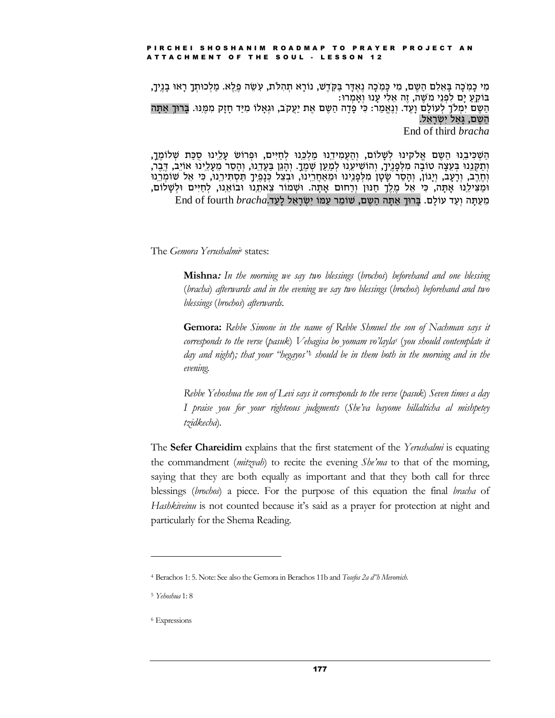מִי כַמְכָה בַּאֲלִם הַשֶּׁם, מִי כַּמְכָה נֵאְדָּר בַּקְדֵשׁ, נוֹרָא תְהִלֹּת, עִשָּׂה פֵלֵא. מַלְכוּתְךָ רָאוּ בָנֵיךָ, בּוֹקע ים לפני משׁה, זה אלי ענוּ ואמרוּ: הַשֶּׁם יִמְלֹךָ לְעוֹלַם וַעֵּד. וְנֵאֲמַר: כִּי פַדָה הַשֶּׁם אֶת יַעֲקֹב, וּגְאַלוֹ מְיַד חַזַק מְמֵנּוּ. בַּרוּךְ אַתָּה הַשֵּׁם, גַּאל יִשְׂרָאֵל. End of third *bracha* 

הַשְׁכִּיבֵנוּ הַשֶּׁם אֲלֹקִינוּ לְשָׁלוֹם, וְהַעֲמִידֶנוּ מַלְכֵּנוּ לְחַיִּים, וּפִרוֹשׁ עָלֵינוּ סִכַּת שָׁלוֹמֵךָ, וְתַקְּנֵנוּ בִּעֵצָה טוֹבָה מִלְפָנֵיךָ, וְהוֹשִׁיעֵנוּ לִמַעַן שִׁמֵךָ. וְהָגֵן בַּעֲדֵנוּ, וְהָסֶר מֵעָלֵינוּ אוֹיֵב, דֵּבֵר, וְחֶרֶב, וְרָעָב, וְיָגוֹן, וְהָסֶר שָׂטָן מִלְפָנֵינוּ וּמֵאַחֲרֵינוּ, וּבְצֵל כִּנָמֵיךָ תַּסְתִּירֵנוּ, כִּי אֵל שוֹמְרֵנוּ וּמַצִּילֵנוּ אָתָה, כִּי אֵל מֶלֵךָ חַנּוּן וְרַחוּם אָתָה. וּשָׁמוֹר צֵאתֵנוּ וּבוֹאֵנוּ, לְחַיִּים וּלְשָׁלוֹם, End of fourth *bracha. אתה השם, שומר עמו ישראל לעד* 

The Gemora Yerushalmi<sup>4</sup> states:

**Mishna:** In the morning we say two blessings (brochos) beforehand and one blessing (bracha) afterwards and in the evening we say two blessings (brochos) beforehand and two blessings (brochos) afterwards.

**Gemora:** Rebbe Simone in the name of Rebbe Shmuel the son of Nachman says it corresponds to the verse (pasuk) Vehagisa bo yomam vo'layla<sup>5</sup> (you should contemplate it day and night); that your "hegayos" should be in them both in the morning and in the evening.

Rebbe Yehoshua the son of Levi says it corresponds to the verse (pasuk) Seven times a day I praise you for your righteous judgments (She'va bayome hillalticha al mishpetey tzidkecha).

The Sefer Chareidim explains that the first statement of the Yerushalmi is equating the commandment *(mitguali)* to recite the evening *She'ma* to that of the morning, saying that they are both equally as important and that they both call for three blessings (brochos) a piece. For the purpose of this equation the final bracha of Hashkiveinu is not counted because it's said as a prayer for protection at night and particularly for the Shema Reading.

<sup>&</sup>lt;sup>4</sup> Berachos 1: 5. Note: See also the Gemora in Berachos 11b and Tosefos 2a d"h Mevoreich.

<sup>&</sup>lt;sup>5</sup> Yehoshua 1: 8

<sup>&</sup>lt;sup>6</sup> Expressions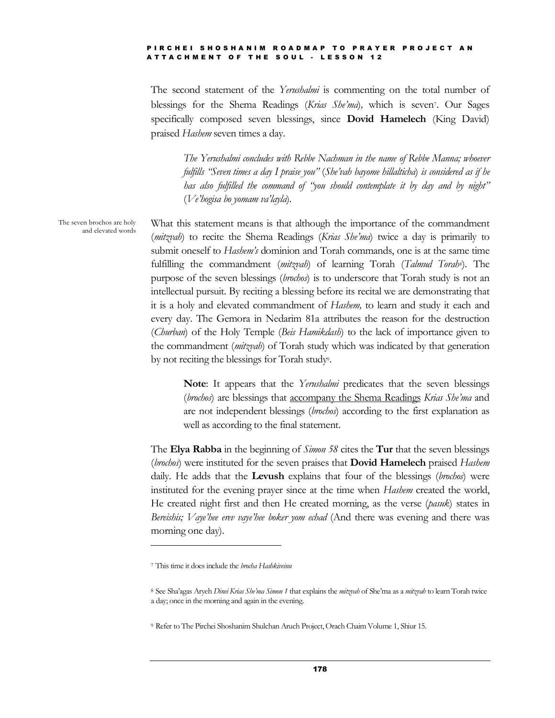The second statement of the *Yerushalmi* is commenting on the total number of blessings for the Shema Readings (*Krias Sheíma*)*,* which is seven7. Our Sages specifically composed seven blessings, since **Dovid Hamelech** (King David) praised *Hashem* seven times a day.

*The Yerushalmi concludes with Rebbe Nachman in the name of Rebbe Manna; whoever fulfills ìSeven times a day I praise youî* (*Sheívah bayome hillalticha*) *is considered as if he has also fulfilled the command of ìyou should contemplate it by day and by nightî* (*Veíhogisa bo yomam vaílayla*)*.*

What this statement means is that although the importance of the commandment (*mitzvah*) to recite the Shema Readings (*Krias Sheíma*) twice a day is primarily to submit oneself to *Hashemís* dominion and Torah commands, one is at the same time fulfilling the commandment (*mitzvah*) of learning Torah (*Talmud Torah8*)*.* The purpose of the seven blessings (*brochos*) is to underscore that Torah study is not an intellectual pursuit. By reciting a blessing before its recital we are demonstrating that it is a holy and elevated commandment of *Hashem,* to learn and study it each and every day. The Gemora in Nedarim 81a attributes the reason for the destruction (*Churban*) of the Holy Temple (*Beis Hamikdash*) to the lack of importance given to the commandment (*mitzvah*) of Torah study which was indicated by that generation by not reciting the blessings for Torah study9.

> **Note**: It appears that the *Yerushalmi* predicates that the seven blessings (*brochos*) are blessings that accompany the Shema Readings *Krias Sheíma* and are not independent blessings (*brochos*) according to the first explanation as well as according to the final statement.

The **Elya Rabba** in the beginning of *Simon 58* cites the **Tur** that the seven blessings (*brochos*) were instituted for the seven praises that **Dovid Hamelech** praised *Hashem* daily. He adds that the **Levush** explains that four of the blessings (*brochos*) were instituted for the evening prayer since at the time when *Hashem* created the world, He created night first and then He created morning, as the verse (*pasuk*) states in *Bereishis; Vayeíhee erev vayeíhee boker yom echad* (And there was evening and there was morning one day).

178

The seven brochos are holy and elevated words

<sup>7</sup> This time it does include the *brocha Hashkiveinu*

<sup>8</sup> See Shaíagas Aryeh *Dinei Krias Sheíma Simon 1* that explains the *mitzvah* of Sheíma as a *mitzvah* to learn Torah twice a day; once in the morning and again in the evening.

<sup>9</sup> Refer to The Pirchei Shoshanim Shulchan Aruch Project,Orach Chaim Volume 1, Shiur 15.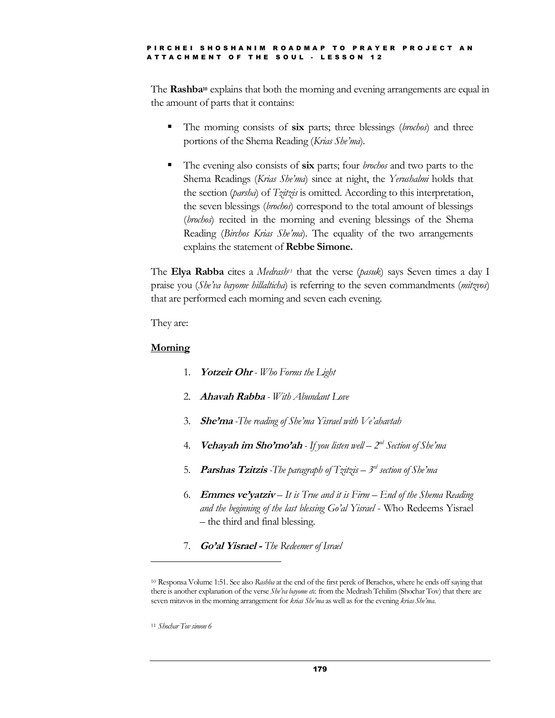The **Rashba<sup>10</sup>** explains that both the morning and evening arrangements are equal in the amount of parts that it contains:

- The morning consists of **six** parts; three blessings (*brochos*) and three portions of the Shema Reading (*Krias Sheíma*)*.*
- The evening also consists of **six** parts; four *brochos* and two parts to the Shema Readings (*Krias Sheíma*) since at night, the *Yerushalmi* holds that the section (*parsha*) of *Tzitzis* is omitted. According to this interpretation, the seven blessings (*brochos*) correspond to the total amount of blessings (*brochos*) recited in the morning and evening blessings of the Shema Reading (*Birchos Krias Sheíma*)*.* The equality of the two arrangements explains the statement of **Rebbe Simone.**

The **Elya Rabba** cites a *Medrash<sup>11</sup>* that the verse (*pasuk*) says Seven times a day I praise you (*Sheíva bayome hillalticha*) is referring to the seven commandments (*mitzvos*) that are performed each morning and seven each evening.

They are:

#### **Morning**

- 1. **Yotzeir Ohr** *- Who Forms the Light*
- 2. **Ahavah Rabba** *- With Abundant Love*
- 3. **Sheíma** *-The reading of Sheíma Yisrael with Veíahavtah*
- 4. **Vehayah im Shoímoíah** *- If you listen well ñ 2 nd Section of Sheíma*
- 5. **Parshas Tzitzis** *-The paragraph of Tzitzis ñ 3 rd section of Sheíma*
- 6. **Emmes veíyatziv** *ñ Itis True and it is Firm ñ End of the Shema Reading and the beginning of the last blessing Goíal Yisrael* - Who Redeems Yisrael – the third and final blessing.
- 7. **Goíal Yisrael -** *The Redeemer of Israel*

<sup>10</sup> Responsa Volume 1:51. See also *Rashba* at the end of the first perek of Berachos, where he ends off saying that there is another explanation of the verse *Sheíva bayome etc.* from the Medrash Tehilim (Shochar Tov) that there are seven mitzvos in the morning arrangement for *krias Sheíma* as well as for the evening *krias Sheíma*.

<sup>11</sup> *Shochar Tov simon 6*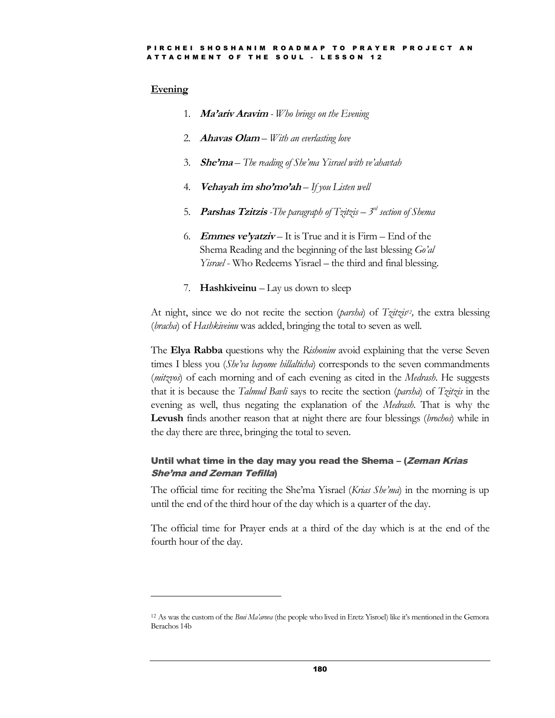#### **Evening**

- 1. **Maíariv Aravim** *- Who brings on the Evening*
- 2. *Ahavas Olam With an everlasting love*
- 3. **Sheíma** *ñ The reading of Sheíma Yisrael with veíahavtah*
- 4. **Vehayah im shoímoíah** *ñ If you Listen well*
- 5. **Parshas Tzitzis** *-The paragraph of Tzitzis ñ 3 rd section of Shema*
- 6. **Emmes ve'yatziv** It is True and it is Firm End of the Shema Reading and the beginning of the last blessing *Goíal Yisrael* - Who Redeems Yisrael – the third and final blessing.
- 7. **Hashkiveinu**  $\mathcal{L}$  Lay us down to sleep

At night, since we do not recite the section (*parsha*) of *Tzitzis <sup>12</sup>,* the extra blessing (*bracha*) of *Hashkiveinu* was added, bringing the total to seven as well.

The **Elya Rabba** questions why the *Rishonim* avoid explaining that the verse Seven times I bless you (*She'va bayome hillalticha*) corresponds to the seven commandments (*mitzvos*) of each morning and of each evening as cited in the *Medrash*. He suggests that it is because the *Talmud Bavli* says to recite the section (*parsha*) of *Tzitzis* in the evening as well, thus negating the explanation of the *Medrash*. That is why the **Levush** finds another reason that at night there are four blessings (*brochos*) while in the day there are three, bringing the total to seven.

#### Until what time in the day may you read the Shema – (*Zeman Krias* **She'ma and Zeman Tefilla)**

The official time for reciting the Sheíma Yisrael (*Krias Sheíma*) in the morning is up until the end of the third hour of the day which is a quarter of the day.

The official time for Prayer ends at a third of the day which is at the end of the fourth hour of the day.

<sup>12</sup> As was the custom of the *Bnei Maíarova* (the people who lived in Eretz Yisroel) like itís mentioned in the Gemora Berachos 14b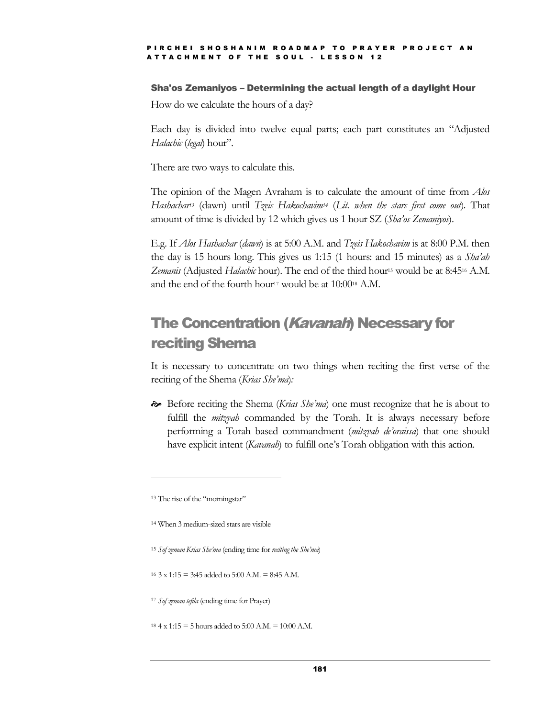#### Sha'os Zemaniyos - Determining the actual length of a daylight Hour

How do we calculate the hours of a day?

Each day is divided into twelve equal parts; each part constitutes an "Adjusted *Halachic* (*legal*) hour".

There are two ways to calculate this.

The opinion of the Magen Avraham is to calculate the amount of time from *Alos Hashachar <sup>13</sup>* (dawn) until *Tzeis Hakochavim<sup>14</sup>* (*Lit. when the stars first come out*)*.* That amount of time is divided by 12 which gives us 1 hour SZ (*Shaíos Zemaniyos*).

E.g. If *Alos Hashachar* (*dawn*) is at 5:00 A.M. and *Tzeis Hakochavim* is at 8:00 P.M. then the day is 15 hours long. This gives us 1:15 (1 hours: and 15 minutes) as a *Shaíah Zemanis* (Adjusted *Halachic* hour). The end of the third hour<sup>15</sup> would be at 8:45<sup>16</sup> A.M. and the end of the fourth hour<sup>17</sup> would be at 10:00<sup>18</sup> A.M.

### The Concentration (Kavanah) Necessary for reciting Shema

It is necessary to concentrate on two things when reciting the first verse of the reciting of the Shema (*Krias Sheíma*)*:*

 Before reciting the Shema (*Krias Sheíma*) one must recognize that he is about to fulfill the *mitzvah* commanded by the Torah. It is always necessary before performing a Torah based commandment (*mitzvah deíoraissa*) that one should have explicit intent (*Kavanah*) to fulfill one's Torah obligation with this action.

<sup>&</sup>lt;sup>13</sup> The rise of the "morningstar"

<sup>14</sup> When 3 medium-sized stars are visible

<sup>15</sup> *Sof zeman Krias Sheíma* (ending time for *recitingthe Sheíma*)

 $16$  3 x  $1:15 = 3:45$  added to  $5:00$  A.M. = 8:45 A.M.

<sup>17</sup> *Sof zeman tefila* (ending time for Prayer)

 $18.4 \times 1:15 = 5$  hours added to  $5:00$  A.M. =  $10:00$  A.M.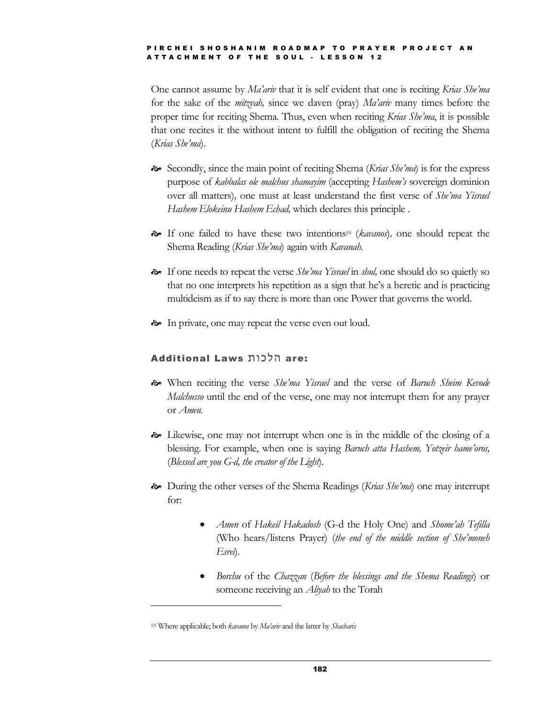One cannot assume by *Maíariv* that it is self evident that one is reciting *Krias Sheíma* for the sake of the *mitzvah,* since we daven (pray) *Maíariv* many times before the proper time for reciting Shema. Thus, even when reciting *Krias Sheíma*, it is possible that one recites it the without intent to fulfill the obligation of reciting the Shema (*Krias Sheíma*).

- Secondly, since the main point of reciting Shema (*Krias Sheíma*) is for the express purpose of *kabbalas ole malchus shamayim* (accepting *Hashemís* sovereign dominion over all matters)*,* one must at least understand the first verse of *Sheíma Yisrael Hashem Elokeinu Hashem Echad,* which declares this principle .
- If one failed to have these two intentions<sup>19</sup> (*kavanos*)*,* one should repeat the Shema Reading (*Krias Sheíma*) again with *Kavanah.*
- If one needs to repeat the verse *Sheíma Yisrael* in *shul,* one should do so quietly so that no one interprets his repetition as a sign that he's a heretic and is practicing multideism as if to say there is more than one Power that governs the world.
- In private, one may repeat the verse even out loud.

#### **Additional Laws הלכות** are:

- When reciting the verse *Sheíma Yisrael* and the verse of *Baruch Sheim Kevode Malchusso* until the end of the verse, one may not interrupt them for any prayer or *Amen.*
- Likewise, one may not interrupt when one is in the middle of the closing of a blessing. For example, when one is saying *Baruch atta Hashem, Yotzeir hameíoros,* (*Blessed are you G-d, the creator of the Light*)*.*
- During the other verses of the Shema Readings (*Krias Sheíma*) one may interrupt for:
	- *Amen* of *Hakeil Hakadosh* (G-d the Holy One) and *Shomeíah Tefilla* (Who hears/listens Prayer) (*the end of the middle section of Sheímoneh Esrei*)*.*
	- *Borchu* of the *Chazzan* (*Before the blessings and the Shema Readings*) or someone receiving an *Aliyah* to the Torah

<sup>19</sup> Where applicable; both *kavanos* by *Maíariv* and the latter by *Shacharis*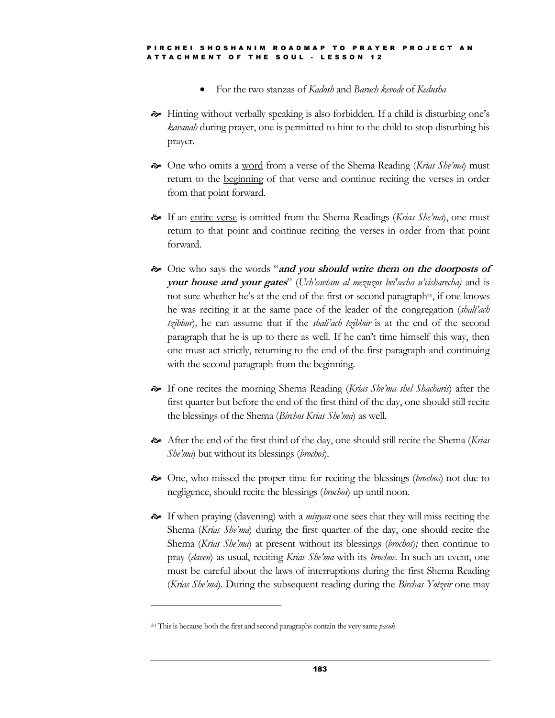- For the two stanzas of *Kadosh* and *Baruch kevode* of *Kedusha*
- $\rightarrow$  Hinting without verbally speaking is also forbidden. If a child is disturbing one's *kavanah* during prayer, one is permitted to hint to the child to stop disturbing his prayer.
- One who omits a word from a verse of the Shema Reading (*Krias Sheíma*) must return to the beginning of that verse and continue reciting the verses in order from that point forward.
- If an entire verse is omitted from the Shema Readings (*Krias Sheíma*), one must return to that point and continue reciting the verses in order from that point forward.
- $\approx$  One who says the words "and you should write them on the doorposts of **your house and your gates**î (*Uchísavtam al mezuzos bei'secha uívisharecha)* and is not sure whether he's at the end of the first or second paragraph<sup>20</sup>, if one knows he was reciting it at the same pace of the leader of the congregation (*shaliíach tzibbur*)*,* he can assume that if the *shaliíach tzibbur* is at the end of the second paragraph that he is up to there as well. If he can't time himself this way, then one must act strictly, returning to the end of the first paragraph and continuing with the second paragraph from the beginning.
- If one recites the morning Shema Reading (*Krias Sheíma shel Shacharis*) after the first quarter but before the end of the first third of the day, one should still recite the blessings of the Shema (*Birchos Krias Sheíma*) as well.
- After the end of the first third of the day, one should still recite the Shema (*Krias Sheíma*) but without its blessings (*brochos*)*.*
- One, who missed the proper time for reciting the blessings (*brochos*) not due to negligence, should recite the blessings (*brochos*) up until noon.
- If when praying (davening) with a *minyan* one sees that they will miss reciting the Shema (*Krias Sheíma*) during the first quarter of the day, one should recite the Shema (*Krias Sheíma*) at present without its blessings (*brochos*)*;* then continue to pray (*daven*) as usual, reciting *Krias Sheíma* with its *brochos*. In such an event, one must be careful about the laws of interruptions during the first Shema Reading (*Krias Sheíma*). During the subsequent reading during the *Birchas Yotzeir* one may

<sup>20</sup> Thisis because both the first and second paragraphs contain the very same *pasuk*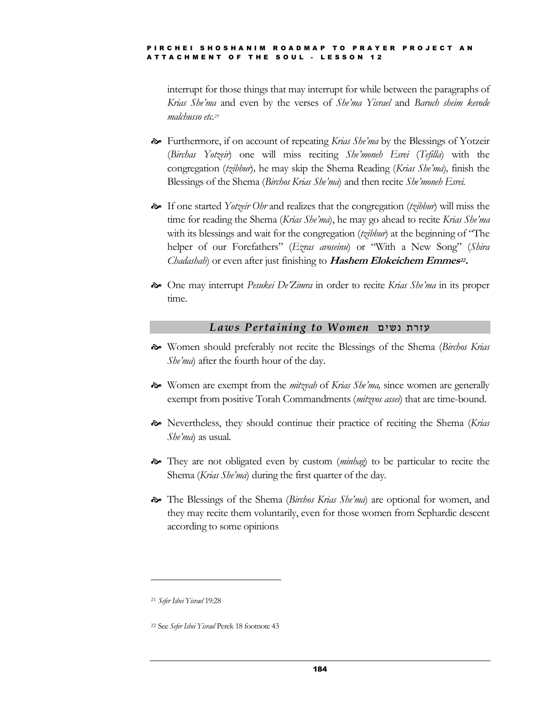interrupt for those things that may interrupt for while between the paragraphs of *Krias Sheíma* and even by the verses of *Sheíma Yisrael* and *Baruch sheim kevode malchusso etc.<sup>21</sup>*

- Furthermore, if on account of repeating *Krias Sheíma* by the Blessings of Yotzeir (*Birchas Yotzeir*) one will miss reciting *Sheímoneh Esrei* (*Tefilla*) with the congregation (*tzibbur*)*,* he may skip the Shema Reading (*Krias Sheíma*)*,* finish the Blessings of the Shema (*Birchos Krias Sheíma*) and then recite *Sheímoneh Esrei.*
- If one started *Yotzeir Ohr* and realizes that the congregation (*tzibbur*) will miss the time for reading the Shema (*Krias Sheíma*), he may go ahead to recite *Krias Sheíma* with its blessings and wait for the congregation (*tzibbur*) at the beginning of "The helper of our Forefathers" (*Ezras avoseinu*) or "With a New Song" (*Shira Chadashah*) or even after just finishing to **Hashem Elokeichem Emmes<sup>22</sup>.**
- One may interrupt *Pesukei DeíZimra* in order to recite *Krias Sheíma* in its proper time.

#### *Laws Pertaining to Women* ¦¢²© ³±«

- Women should preferably not recite the Blessings of the Shema (*Birchos Krias She'ma*) after the fourth hour of the day.
- Women are exempt from the *mitzvah* of *Krias Sheíma,* since women are generally exempt from positive Torah Commandments (*mitzvos assei*) that are time-bound.
- Nevertheless, they should continue their practice of reciting the Shema (*Krias She'ma*) as usual.
- They are not obligated even by custom (*minhag*) to be particular to recite the Shema (*Krias Sheíma*) during the first quarter of the day.
- The Blessings of the Shema (*Birchos Krias Sheíma*) are optional for women, and they may recite them voluntarily, even for those women from Sephardic descent according to some opinions

<sup>21</sup> *Sefer Ishei Yisrael* 19:28

<sup>22</sup> See *Sefer Ishei Yisrael* Perek 18 footnote 43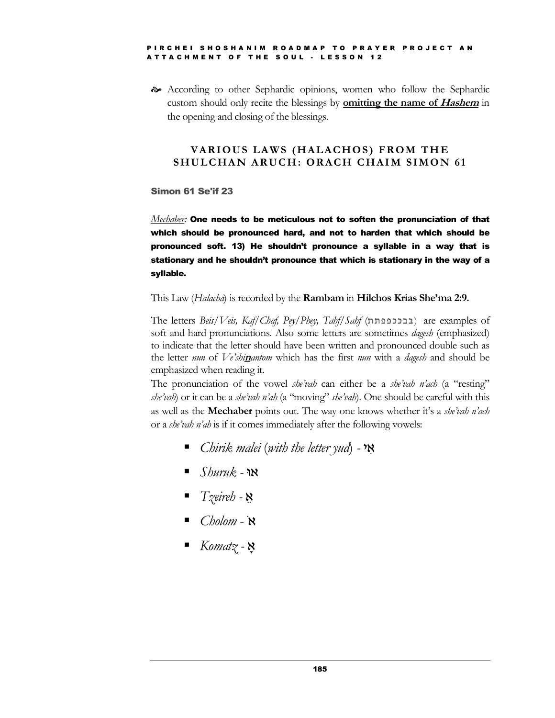According to other Sephardic opinions, women who follow the Sephardic custom should only recite the blessings by **omitting the name of Hashem** in the opening and closing of the blessings.

#### **VARIOUS LAWS (HALACHOS )FROM THE SHULCHA N ARUCH: ORACH CHAIM S IMON 61**

#### Simon 61 Se'if 23

*Mechaber:* One needs to be meticulous not to soften the pronunciation of that which should be pronounced hard, and not to harden that which should be pronounced soft. 13) He shouldnít pronounce a syllable in a way that is stationary and he shouldn't pronounce that which is stationary in the way of a syllable.

This Law (*Halacha*) is recorded by the **Rambam** in **Hilchos Krias Sheíma 2:9.**

The letters *Beis/Veis, Kaf/Chaf, Pey/Phey, Tahf/Sahf* (בבכפפתח) are examples of soft and hard pronunciations. Also some letters are sometimes *dagesh* (emphasized) to indicate that the letter should have been written and pronounced double such as the letter *nun* of *Veíshi***n***antom* which has the first *nun* with a *dagesh* and should be emphasized when reading it.

The pronunciation of the vowel *she'vah* can either be a *she'vah n'ach* (a "resting" *she'vah*) or it can be a *she'vah n'ah* (a "moving" *she'vah*). One should be careful with this as well as the **Mechaber** points out. The way one knows whether itís a *sheívah níach* or a *sheívah níah* is if it comes immediately after the following vowels:

- *Chirik malei* (*with the letter yud*) *-* ¢Ó
- *Shuruk -* â
- *Tzeireh -*
- *Cholom* **×**
- *Komatz -*Ò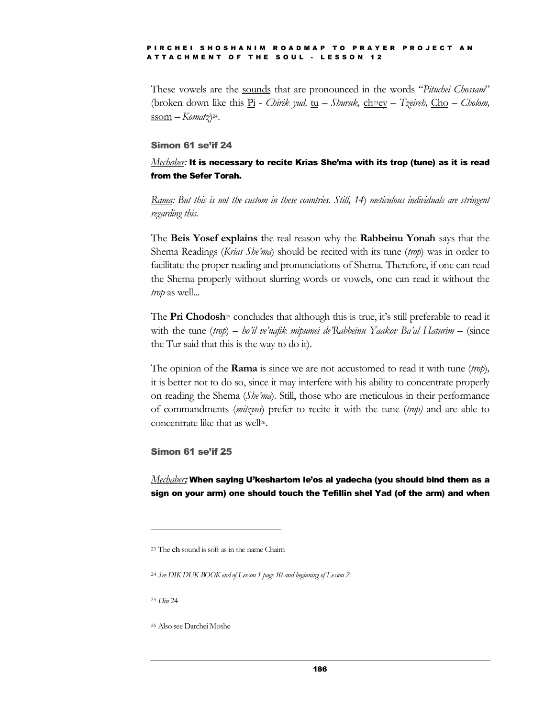These vowels are the sounds that are pronounced in the words "Pituchei Chossam" (broken down like this  $P_i$  - *Chirik yud,* tu – *Shuruk,* ch<sup>23</sup>ey – *Tzeireh,* Cho – *Cholom,* <u>ssom</u> – K*omatz*)24.

#### Simon 61 se'if 24

#### $\emph{Mechaber:}$  It is necessary to recite Krias She'ma with its trop (tune) as it is read from the Sefer Torah.

*Rama: But this is not the custom in these countries. Still, 14*) *meticulous individuals are stringent regarding this.*

The **Beis Yosef explains t**he real reason why the **Rabbeinu Yonah** says that the Shema Readings (*Krias Sheíma*) should be recited with its tune (*trop*) was in order to facilitate the proper reading and pronunciations of Shema*.* Therefore, if one can read the Shema properly without slurring words or vowels, one can read it without the *trop* as well.*..*

The **Pri Chodosh**<sup>25</sup> concludes that although this is true, it's still preferable to read it with the tune (trop) – ho'il ve'nafik mipumei de'Rabbeinu Yaakov Ba'al Haturim – (since the Tur said that this is the way to do it).

The opinion of the **Rama** is since we are not accustomed to read it with tune (*trop*)*,* it is better not to do so, since it may interfere with his ability to concentrate properly on reading the Shema (*Sheíma*)*.* Still, those who are meticulous in their performance of commandments (*mitzvos*) prefer to recite it with the tune (*trop)* and are able to concentrate like that as well<sup>26</sup>.

#### Simon 61 se'if 25

*Mechaber***:** When saying Uíkeshartom leíos al yadecha (you should bind them as a sign on your arm) one should touch the Tefillin shel Yad (of the arm) and when

<sup>25</sup> *Din* 24

<sup>26</sup> Also see Darchei Moshe

<sup>23</sup> The **ch** sound is soft as in the name Chaim

<sup>24</sup> *See DIK DUK BOOK end of Lesson 1 page 10 and beginning of Lesson 2.*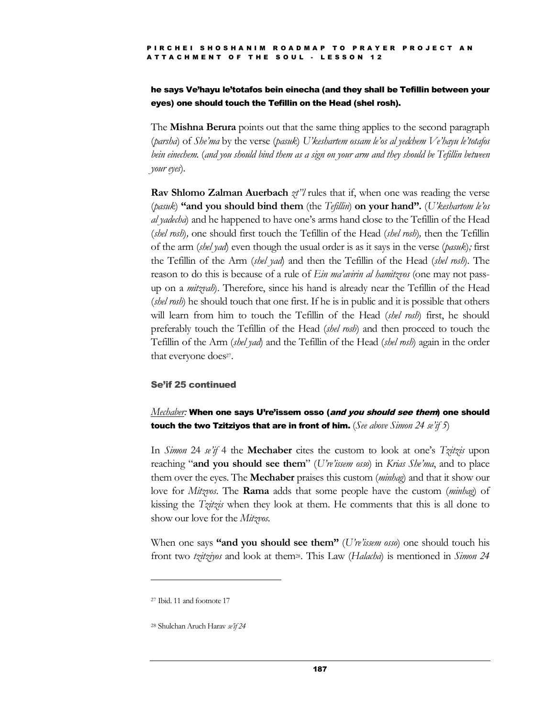#### he says Ve'hayu le'totafos bein einecha (and they shall be Tefillin between your eyes) one should touch the Tefillin on the Head (shel rosh).

The **Mishna Berura** points out that the same thing applies to the second paragraph (*parsha*) of *Sheíma* by the verse (*pasuk*) *Uíkeshartem ossam leíos al yedchem Veíhayu leítotafos* bein einechem. (and you should bind them as a sign on your arm and they should be Tefillin between *your eyes*)*.*

**Rav Shlomo Zalman Auerbach**  $\chi t$ <sup>7</sup> rules that if, when one was reading the verse (*pasuk*) **ìand you should bind them** (the *Tefillin*) **on your handî.** (*Uíkeshartom leíos al* yadecha) and he happened to have one's arms hand close to the Tefillin of the Head (*shel rosh*)*,* one should first touch the Tefillin of the Head (*shel rosh*)*,* then the Tefillin of the arm (*shel yad*) even though the usual order is as it says in the verse (*pasuk*)*;* first the Tefillin of the Arm (*shelyad*) and then the Tefillin of the Head (*shel rosh*)*.* The reason to do this is because of a rule of *Ein maíavirin al hamitzvos* (one may not pass up on a *mitzvah*). Therefore, since his hand is already near the Tefillin of the Head (*shel rosh*) he should touch that one first. If he is in public and it is possible that others will learn from him to touch the Tefillin of the Head (*shel rosh*) first, he should preferably touch the Tefillin of the Head (*shel rosh*) and then proceed to touch the Tefillin of the Arm (*shel yad*) and the Tefillin of the Head (*shel rosh*) again in the order that everyone does<sup>27</sup>.

#### Se'if 25 continued

#### *Mechaber:* When one says Uíreíissem osso (and you should see them) one should touch the two Tzitziyos that are in front of him. (*See above Simon 24 seíif 5*)

In *Simon* 24 *seíif* 4 the **Mechaber** cites the custom to look at oneís *Tzitzis* upon reaching ì**and you should see them**î (*Uíreíissem osso*) in *Krias Sheíma*, and to place them over the eyes. The **Mechaber** praises this custom (*minhag*) and that it show our love for *Mitzvos*. The **Rama** adds that some people have the custom (*minhag*) of kissing the *Tzitzis* when they look at them. He comments that this is all done to show our love for the *Mitzvos.*

When one says "and you should see them" (*U're'issem osso*) one should touch his front two *tzitziyos* and look at them28. This Law (*Halacha*) is mentioned in *Simon 24*

<sup>27</sup> Ibid. 11 and footnote 17

<sup>28</sup> Shulchan Aruch Harav *seíif 24*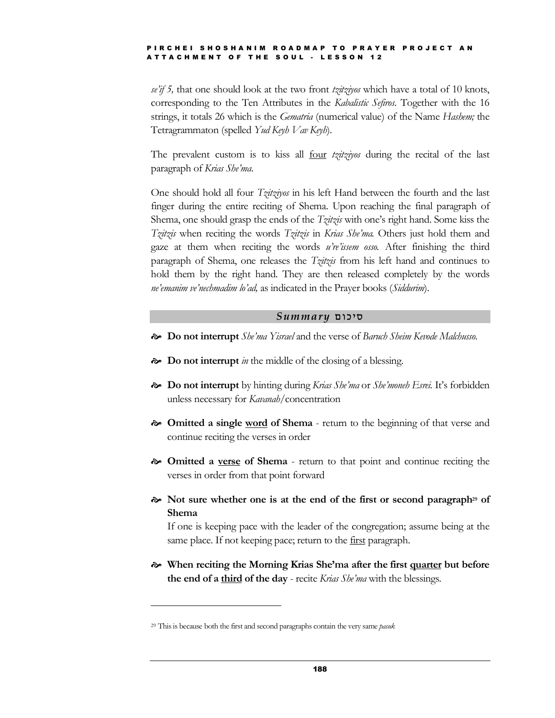*seíif 5,* that one should look at the two front *tzitziyos* which have a total of 10 knots, corresponding to the Ten Attributes in the *Kabalistic Sefiros.* Together with the 16 strings, it totals 26 which is the *Gematria* (numerical value) of the Name *Hashem;* the Tetragrammaton (spelled *Yud Keyh Vav Keyh*)*.*

The prevalent custom is to kiss all four *tzitziyos* during the recital of the last paragraph of *Krias Sheíma*.

One should hold all four *Tzitziyos* in his left Hand between the fourth and the last finger during the entire reciting of Shema. Upon reaching the final paragraph of Shema, one should grasp the ends of the *Tzitzis* with one's right hand. Some kiss the *Tzitzis* when reciting the words *Tzitzis* in *Krias Sheíma.* Others just hold them and gaze at them when reciting the words *uíreíissem osso.* After finishing the third paragraph of Shema, one releases the *Tzitzis* from his left hand and continues to hold them by the right hand. They are then released completely by the words *neíemanim veínechmadim loíad,* as indicated in the Prayer books (*Siddurim*).

#### $Summary$  סיכום

- **Do not interrupt** *Sheíma Yisrael* and the verse of *Baruch Sheim Kevode Malchusso.*
- **Do not interrupt** *in* the middle of the closing of a blessing.
- **Do not interrupt** by hinting during *Krias Sheíma* or *Sheímoneh Esrei.* Itís forbidden unless necessary for *Kavanah*/concentration
- **Omitted a single word of Shema** return to the beginning of that verse and continue reciting the verses in order
- **Omitted a verse of Shema** return to that point and continue reciting the verses in order from that point forward
- **Not sure whether one is at the end of the first or second paragraph<sup>29</sup> of Shema**

If one is keeping pace with the leader of the congregation; assume being at the same place. If not keeping pace; return to the <u>first</u> paragraph.

 **When reciting the Morning Krias Sheíma after the first quarter but before the end of a third of the day** - recite *Krias Sheíma* with the blessings.

<sup>29</sup> Thisis because both the first and second paragraphs contain the very same *pasuk*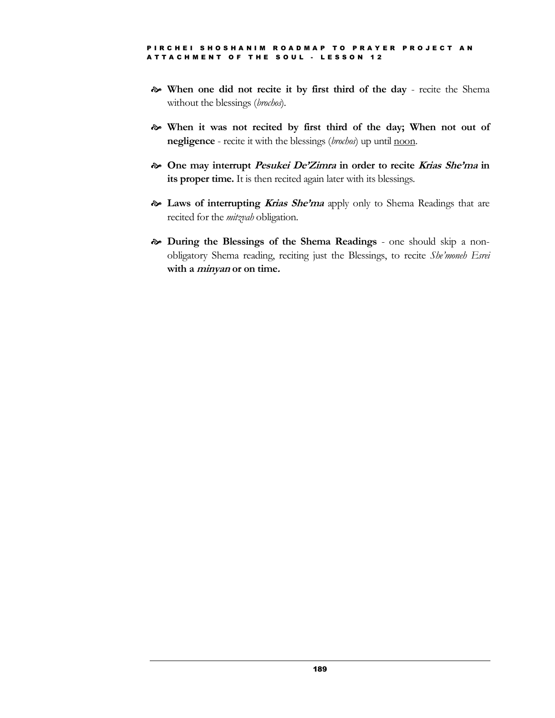- **When one did not recite it by first third of the day** recite the Shema without the blessings (*brochos*)*.*
- **When it was not recited by first third of the day; When not out of negligence** - recite it with the blessings (*brochos*) up until noon.
- **One may interrupt Pesukei DeíZimra in order to recite Krias Sheíma in its proper time.** It is then recited again later with its blessings.
- **Laws of interrupting Krias Sheíma** apply only to Shema Readings that are recited for the *mitzvah* obligation*.*
- **During the Blessings of the Shema Readings** one should skip a non obligatory Shema reading, reciting just the Blessings, to recite *Sheímoneh Esrei* **with a minyan or on time.**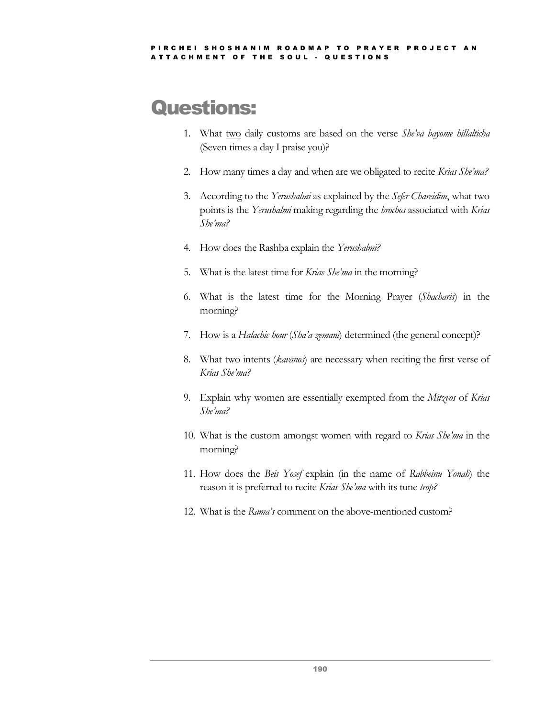## Questions:

- 1. What two daily customs are based on the verse *Sheíva bayome hillalticha* (Seven times a day I praise you)?
- 2. How many times a day and when are we obligated to recite *Krias Sheíma?*
- 3. According to the *Yerushalmi* as explained by the *Sefer Chareidim*, what two points is the *Yerushalmi* making regarding the *brochos* associated with *Krias Sheíma?*
- 4. How does the Rashba explain the *Yerushalmi?*
- 5. What is the latest time for *Krias Sheíma* in the morning?
- 6. What is the latest time for the Morning Prayer (*Shacharis*) in the morning?
- 7. How is a *Halachic hour* (*Shaía zemani*) determined (the general concept)?
- 8. What two intents (*kavanos*) are necessary when reciting the first verse of *Krias Sheíma?*
- 9. Explain why women are essentially exempted from the *Mitzvos* of *Krias Sheíma?*
- 10. What is the custom amongst women with regard to *Krias Sheíma* in the morning?
- 11. How does the *Beis Yosef* explain (in the name of *Rabbeinu Yonah*) the reason it is preferred to recite *Krias She'ma* with its tune trop?
- 12. What is the *Ramaís* comment on the above-mentioned custom?